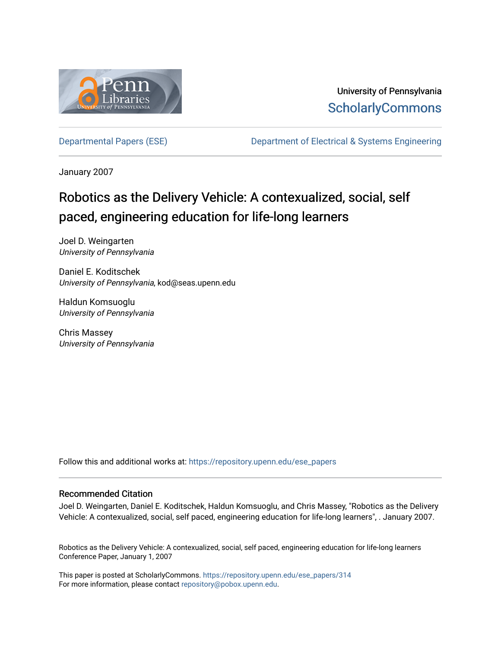

University of Pennsylvania **ScholarlyCommons** 

[Departmental Papers \(ESE\)](https://repository.upenn.edu/ese_papers) Department of Electrical & Systems Engineering

January 2007

## Robotics as the Delivery Vehicle: A contexualized, social, self paced, engineering education for life-long learners

Joel D. Weingarten University of Pennsylvania

Daniel E. Koditschek University of Pennsylvania, kod@seas.upenn.edu

Haldun Komsuoglu University of Pennsylvania

Chris Massey University of Pennsylvania

Follow this and additional works at: [https://repository.upenn.edu/ese\\_papers](https://repository.upenn.edu/ese_papers?utm_source=repository.upenn.edu%2Fese_papers%2F314&utm_medium=PDF&utm_campaign=PDFCoverPages)

#### Recommended Citation

Joel D. Weingarten, Daniel E. Koditschek, Haldun Komsuoglu, and Chris Massey, "Robotics as the Delivery Vehicle: A contexualized, social, self paced, engineering education for life-long learners", . January 2007.

Robotics as the Delivery Vehicle: A contexualized, social, self paced, engineering education for life-long learners Conference Paper, January 1, 2007

This paper is posted at ScholarlyCommons. [https://repository.upenn.edu/ese\\_papers/314](https://repository.upenn.edu/ese_papers/314) For more information, please contact [repository@pobox.upenn.edu.](mailto:repository@pobox.upenn.edu)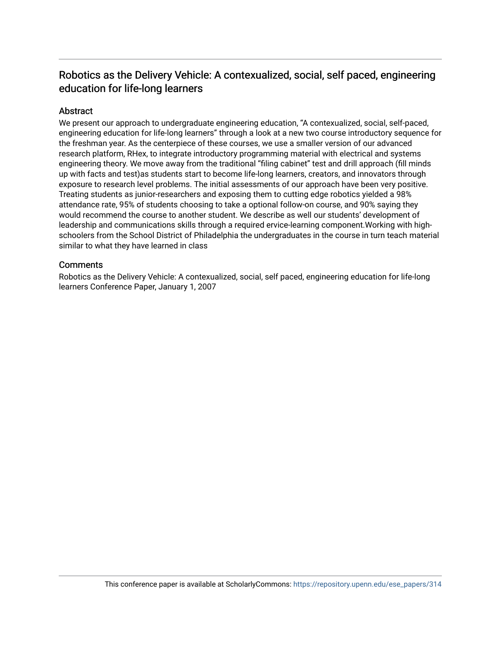### Robotics as the Delivery Vehicle: A contexualized, social, self paced, engineering education for life-long learners

#### **Abstract**

We present our approach to undergraduate engineering education, "A contexualized, social, self-paced, engineering education for life-long learners" through a look at a new two course introductory sequence for the freshman year. As the centerpiece of these courses, we use a smaller version of our advanced research platform, RHex, to integrate introductory programming material with electrical and systems engineering theory. We move away from the traditional "filing cabinet" test and drill approach (fill minds up with facts and test)as students start to become life-long learners, creators, and innovators through exposure to research level problems. The initial assessments of our approach have been very positive. Treating students as junior-researchers and exposing them to cutting edge robotics yielded a 98% attendance rate, 95% of students choosing to take a optional follow-on course, and 90% saying they would recommend the course to another student. We describe as well our students' development of leadership and communications skills through a required ervice-learning component.Working with highschoolers from the School District of Philadelphia the undergraduates in the course in turn teach material similar to what they have learned in class

#### **Comments**

Robotics as the Delivery Vehicle: A contexualized, social, self paced, engineering education for life-long learners Conference Paper, January 1, 2007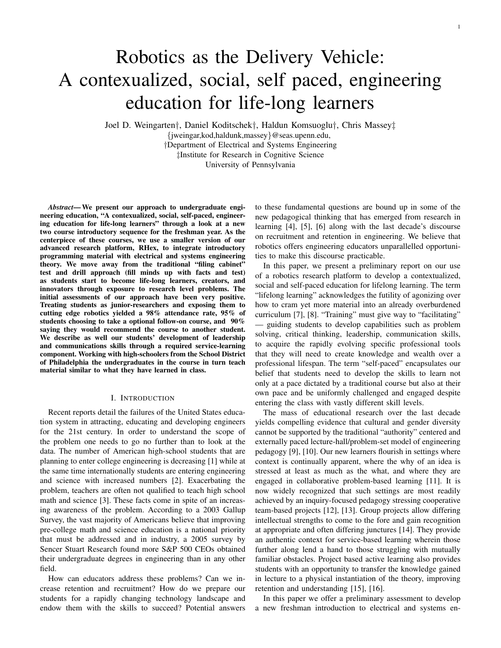# Robotics as the Delivery Vehicle: A contexualized, social, self paced, engineering education for life-long learners

Joel D. Weingarten†, Daniel Koditschek†, Haldun Komsuoglu†, Chris Massey‡

{jweingar,kod,haldunk,massey}@seas.upenn.edu, †Department of Electrical and Systems Engineering ‡Institute for Research in Cognitive Science University of Pennsylvania

*Abstract*— We present our approach to undergraduate engineering education, "A contexualized, social, self-paced, engineering education for life-long learners" through a look at a new two course introductory sequence for the freshman year. As the centerpiece of these courses, we use a smaller version of our advanced research platform, RHex, to integrate introductory programming material with electrical and systems engineering theory. We move away from the traditional "filing cabinet" test and drill approach (fill minds up with facts and test) as students start to become life-long learners, creators, and innovators through exposure to research level problems. The initial assessments of our approach have been very positive. Treating students as junior-researchers and exposing them to cutting edge robotics yielded a 98% attendance rate, 95% of students choosing to take a optional follow-on course, and 90% saying they would recommend the course to another student. We describe as well our students' development of leadership and communications skills through a required service-learning component. Working with high-schoolers from the School District of Philadelphia the undergraduates in the course in turn teach material similar to what they have learned in class.

#### I. INTRODUCTION

Recent reports detail the failures of the United States education system in attracting, educating and developing engineers for the 21st century. In order to understand the scope of the problem one needs to go no further than to look at the data. The number of American high-school students that are planning to enter college engineering is decreasing [1] while at the same time internationally students are entering engineering and science with increased numbers [2]. Exacerbating the problem, teachers are often not qualified to teach high school math and science [3]. These facts come in spite of an increasing awareness of the problem. According to a 2003 Gallup Survey, the vast majority of Americans believe that improving pre-college math and science education is a national priority that must be addressed and in industry, a 2005 survey by Sencer Stuart Research found more S&P 500 CEOs obtained their undergraduate degrees in engineering than in any other field.

How can educators address these problems? Can we increase retention and recruitment? How do we prepare our students for a rapidly changing technology landscape and endow them with the skills to succeed? Potential answers to these fundamental questions are bound up in some of the new pedagogical thinking that has emerged from research in learning [4], [5], [6] along with the last decade's discourse on recruitment and retention in engineering. We believe that robotics offers engineering educators unparallelled opportunities to make this discourse practicable.

In this paper, we present a preliminary report on our use of a robotics research platform to develop a contextualized, social and self-paced education for lifelong learning. The term "lifelong learning" acknowledges the futility of agonizing over how to cram yet more material into an already overburdened curriculum [7], [8]. "Training" must give way to "facilitating" — guiding students to develop capabilities such as problem solving, critical thinking, leadership, communication skills, to acquire the rapidly evolving specific professional tools that they will need to create knowledge and wealth over a professional lifespan. The term "self-paced" encapsulates our belief that students need to develop the skills to learn not only at a pace dictated by a traditional course but also at their own pace and be uniformly challenged and engaged despite entering the class with vastly different skill levels.

The mass of educational research over the last decade yields compelling evidence that cultural and gender diversity cannot be supported by the traditional "authority" centered and externally paced lecture-hall/problem-set model of engineering pedagogy [9], [10]. Our new learners flourish in settings where context is continually apparent, where the why of an idea is stressed at least as much as the what, and where they are engaged in collaborative problem-based learning [11]. It is now widely recognized that such settings are most readily achieved by an inquiry-focused pedagogy stressing cooperative team-based projects [12], [13]. Group projects allow differing intellectual strengths to come to the fore and gain recognition at appropriate and often differing junctures [14]. They provide an authentic context for service-based learning wherein those further along lend a hand to those struggling with mutually familiar obstacles. Project based active learning also provides students with an opportunity to transfer the knowledge gained in lecture to a physical instantiation of the theory, improving retention and understanding [15], [16].

In this paper we offer a preliminary assessment to develop a new freshman introduction to electrical and systems en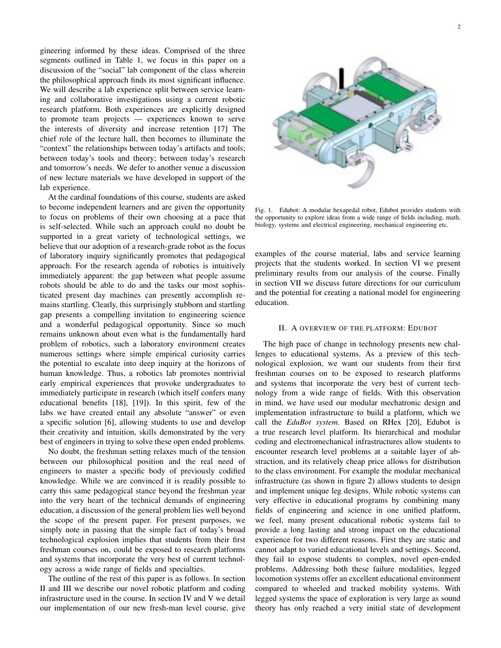gineering informed by these ideas. Comprised of the three segments outlined in Table 1, we focus in this paper on a discussion of the "social" lab component of the class wherein the philosophical approach finds its most significant influence. We will describe a lab experience split between service learning and collaborative investigations using a current robotic research platform. Both experiences are explicitly designed to promote team projects — experiences known to serve the interests of diversity and increase retention [17] The chief role of the lecture hall, then becomes to illuminate the "context" the relationships between today's artifacts and tools; between today's tools and theory; between today's research and tomorrow's needs. We defer to another venue a discussion of new lecture materials we have developed in support of the lab experience.

At the cardinal foundations of this course, students are asked to become independent learners and are given the opportunity to focus on problems of their own choosing at a pace that is self-selected. While such an approach could no doubt be supported in a great variety of technological settings, we believe that our adoption of a research-grade robot as the focus of laboratory inquiry significantly promotes that pedagogical approach. For the research agenda of robotics is intuitively immediately apparent: the gap between what people assume robots should be able to do and the tasks our most sophisticated present day machines can presently accomplish remains startling. Clearly, this surprisingly stubborn and startling gap presents a compelling invitation to engineering science and a wonderful pedagogical opportunity. Since so much remains unknown about even what is the fundamentally hard problem of robotics, such a laboratory environment creates numerous settings where simple empirical curiosity carries the potential to escalate into deep inquiry at the horizons of human knowledge. Thus, a robotics lab promotes nontrivial early empirical experiences that provoke undergraduates to immediately participate in research (which itself confers many educational benefits [18], [19]). In this spirit, few of the labs we have created entail any absolute "answer" or even a specific solution [6], allowing students to use and develop their creativity and intuition, skills demonstrated by the very best of engineers in trying to solve these open ended problems.

No doubt, the freshman setting relaxes much of the tension between our philosophical position and the real need of engineers to master a specific body of previously codified knowledge. While we are convinced it is readily possible to carry this same pedagogical stance beyond the freshman year into the very heart of the technical demands of engineering education, a discussion of the general problem lies well beyond the scope of the present paper. For present purposes, we simply note in passing that the simple fact of today's broad technological explosion implies that students from their first freshman courses on, could be exposed to research platforms and systems that incorporate the very best of current technology across a wide range of fields and specialties.

The outline of the rest of this paper is as follows. In section II and III we describe our novel robotic platform and coding infrastructure used in the course. In section IV and V we detail our implementation of our new fresh-man level course, give



Fig. 1. Edubot: A modular hexapedal robot, Edubot provides students with the opportunity to explore ideas from a wide range of fields including, math, biology, systems and electrical engineering, mechanical engineering etc.

examples of the course material, labs and service learning projects that the students worked. In section VI we present preliminary results from our analysis of the course. Finally in section VII we discuss future directions for our curriculum and the potential for creating a national model for engineering education.

#### II. A OVERVIEW OF THE PLATFORM: EDUBOT

The high pace of change in technology presents new challenges to educational systems. As a preview of this technological explosion, we want our students from their first freshman courses on to be exposed to research platforms and systems that incorporate the very best of current technology from a wide range of fields. With this observation in mind, we have used our modular mechatronic design and implementation infrastructure to build a platform, which we call the *EduBot system*. Based on RHex [20], Edubot is a true research level platform. Its hierarchical and modular coding and electromechanical infrastructures allow students to encounter research level problems at a suitable layer of abstraction, and its relatively cheap price allows for distribution to the class environment. For example the modular mechanical infrastructure (as shown in figure 2) allows students to design and implement unique leg designs. While robotic systems can very effective in educational programs by combining many fields of engineering and science in one unified platform, we feel, many present educational robotic systems fail to provide a long lasting and strong impact on the educational experience for two different reasons. First they are static and cannot adapt to varied educational levels and settings. Second, they fail to expose students to complex, novel open-ended problems. Addressing both these failure modalities, legged locomotion systems offer an excellent educational environment compared to wheeled and tracked mobility systems. With legged systems the space of exploration is very large as sound theory has only reached a very initial state of development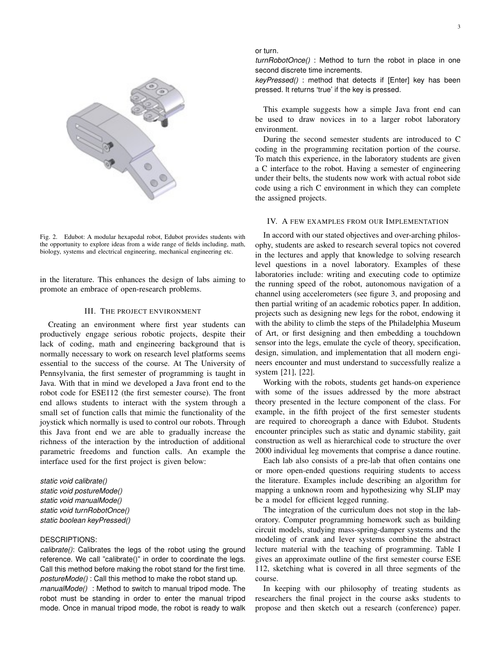

Fig. 2. Edubot: A modular hexapedal robot, Edubot provides students with the opportunity to explore ideas from a wide range of fields including, math, biology, systems and electrical engineering, mechanical engineering etc.

in the literature. This enhances the design of labs aiming to promote an embrace of open-research problems.

#### III. THE PROJECT ENVIRONMENT

Creating an environment where first year students can productively engage serious robotic projects, despite their lack of coding, math and engineering background that is normally necessary to work on research level platforms seems essential to the success of the course. At The University of Pennsylvania, the first semester of programming is taught in Java. With that in mind we developed a Java front end to the robot code for ESE112 (the first semester course). The front end allows students to interact with the system through a small set of function calls that mimic the functionality of the joystick which normally is used to control our robots. Through this Java front end we are able to gradually increase the richness of the interaction by the introduction of additional parametric freedoms and function calls. An example the interface used for the first project is given below:

*static void calibrate() static void postureMode() static void manualMode() static void turnRobotOnce() static boolean keyPressed()*

#### DESCRIPTIONS:

*calibrate()*: Calibrates the legs of the robot using the ground reference. We call "calibrate()" in order to coordinate the legs. Call this method before making the robot stand for the first time. *postureMode()* : Call this method to make the robot stand up. *manualMode()* : Method to switch to manual tripod mode. The robot must be standing in order to enter the manual tripod mode. Once in manual tripod mode, the robot is ready to walk

#### or turn.

*turnRobotOnce()* : Method to turn the robot in place in one second discrete time increments.

*keyPressed()* : method that detects if [Enter] key has been pressed. It returns 'true' if the key is pressed.

This example suggests how a simple Java front end can be used to draw novices in to a larger robot laboratory environment.

During the second semester students are introduced to C coding in the programming recitation portion of the course. To match this experience, in the laboratory students are given a C interface to the robot. Having a semester of engineering under their belts, the students now work with actual robot side code using a rich C environment in which they can complete the assigned projects.

#### IV. A FEW EXAMPLES FROM OUR IMPLEMENTATION

In accord with our stated objectives and over-arching philosophy, students are asked to research several topics not covered in the lectures and apply that knowledge to solving research level questions in a novel laboratory. Examples of these laboratories include: writing and executing code to optimize the running speed of the robot, autonomous navigation of a channel using accelerometers (see figure 3, and proposing and then partial writing of an academic robotics paper. In addition, projects such as designing new legs for the robot, endowing it with the ability to climb the steps of the Philadelphia Museum of Art, or first designing and then embedding a touchdown sensor into the legs, emulate the cycle of theory, specification, design, simulation, and implementation that all modern engineers encounter and must understand to successfully realize a system [21], [22].

Working with the robots, students get hands-on experience with some of the issues addressed by the more abstract theory presented in the lecture component of the class. For example, in the fifth project of the first semester students are required to choreograph a dance with Edubot. Students encounter principles such as static and dynamic stability, gait construction as well as hierarchical code to structure the over 2000 individual leg movements that comprise a dance routine.

Each lab also consists of a pre-lab that often contains one or more open-ended questions requiring students to access the literature. Examples include describing an algorithm for mapping a unknown room and hypothesizing why SLIP may be a model for efficient legged running.

The integration of the curriculum does not stop in the laboratory. Computer programming homework such as building circuit models, studying mass-spring-damper systems and the modeling of crank and lever systems combine the abstract lecture material with the teaching of programming. Table I gives an approximate outline of the first semester course ESE 112, sketching what is covered in all three segments of the course.

In keeping with our philosophy of treating students as researchers the final project in the course asks students to propose and then sketch out a research (conference) paper.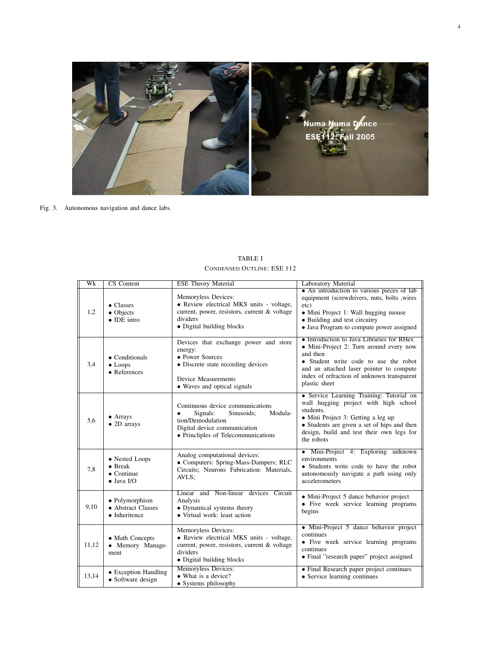

Fig. 3. Autonomous navigation and dance labs.

| Wk    | <b>CS</b> Content                                                             | <b>ESE Theory Material</b>                                                                                                                                                     | <b>Laboratory Material</b>                                                                                                                                                                                                                           |
|-------|-------------------------------------------------------------------------------|--------------------------------------------------------------------------------------------------------------------------------------------------------------------------------|------------------------------------------------------------------------------------------------------------------------------------------------------------------------------------------------------------------------------------------------------|
| 1,2   | $\bullet$ Classes<br>$\bullet$ Objects<br>$\bullet$ IDE intro                 | Memoryless Devices:<br>• Review electrical MKS units - voltage,<br>current, power, resistors, current & voltage<br>dividers<br>• Digital building blocks                       | • An introduction to various pieces of lab<br>equipment (screwdrivers, nuts, bolts ,wires<br>etc)<br>• Mini Project 1: Wall hugging mouse<br>• Building and test circuitry<br>• Java Program to compute power assigned                               |
| 3,4   | $\bullet$ Conditionals<br>$\bullet$ Loops<br>• References                     | Devices that exchange power and store<br>energy:<br>• Power Sources<br>• Discrete state recording devices<br>Device Measurements<br>• Waves and optical signals                | • Introduction to Java Libraries for RHex<br>• Mini-Project 2: Turn around every now<br>and then<br>• Student write code to use the robot<br>and an attached laser pointer to compute<br>index of refraction of unknown transparent<br>plastic sheet |
| 5.6   | $\bullet$ Arrays<br>$\bullet$ 2D arrays                                       | Continuous device communications<br>Signals:<br>Sinusoids;<br>Modula-<br>$\bullet$<br>tion/Demodulation<br>Digital device communication<br>• Princliples of Telecommunications | • Service Learning Training: Tutorial on<br>wall hugging project with high school<br>students.<br>• Mini Project 3: Getting a leg up<br>• Students are given a set of hips and then<br>design, build and test their own legs for<br>the robots       |
| 7,8   | • Nested Loops<br>$\bullet$ Break<br>$\bullet$ Continue<br>$\bullet$ Java I/O | Analog computational devices:<br>• Computers: Spring-Mass-Dampers; RLC<br>Circuits; Neurons Fabrication: Materials,<br>AVLS:                                                   | • Mini-Project 4: Exploring unknown<br>environments<br>• Students write code to have the robot<br>autonomously navigate a path using only<br>accelerometers                                                                                          |
| 9,10  | • Polymorphism<br>• Abstract Classes<br>• Inheritence                         | Linear and Non-linear devices Circuit<br>Analysis<br>• Dynamical systems theory<br>• Virtual work: least action                                                                | • Mini-Project 5 dance behavior project<br>• Five week service learning programs<br>begins                                                                                                                                                           |
| 11,12 | • Math Concepts<br>• Memory Manage-<br>ment                                   | Memoryless Devices:<br>• Review electrical MKS units - voltage,<br>current, power, resistors, current & voltage<br>dividers<br>• Digital building blocks                       | • Mini-Project 5 dance behavior project<br>continues<br>• Five week service learning programs<br>continues<br>• Final "research paper" project assigned                                                                                              |
| 13,14 | • Exception Handling<br>• Software design                                     | <b>Memoryless Devices:</b><br>• What is a device?<br>• Systems philosophy                                                                                                      | • Final Research paper project continues<br>• Service learning continues                                                                                                                                                                             |

#### TABLE I CONDENSED OUTLINE: ESE 112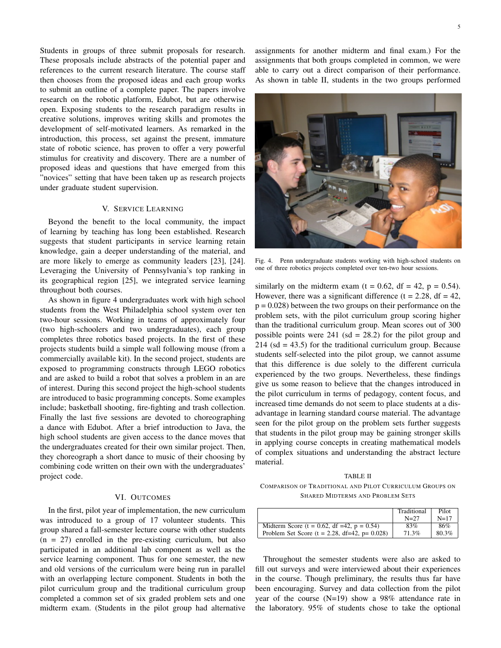Students in groups of three submit proposals for research. These proposals include abstracts of the potential paper and references to the current research literature. The course staff then chooses from the proposed ideas and each group works to submit an outline of a complete paper. The papers involve research on the robotic platform, Edubot, but are otherwise open. Exposing students to the research paradigm results in creative solutions, improves writing skills and promotes the development of self-motivated learners. As remarked in the introduction, this process, set against the present, immature state of robotic science, has proven to offer a very powerful stimulus for creativity and discovery. There are a number of proposed ideas and questions that have emerged from this "novices" setting that have been taken up as research projects under graduate student supervision.

#### V. SERVICE LEARNING

Beyond the benefit to the local community, the impact of learning by teaching has long been established. Research suggests that student participants in service learning retain knowledge, gain a deeper understanding of the material, and are more likely to emerge as community leaders [23], [24]. Leveraging the University of Pennsylvania's top ranking in its geographical region [25], we integrated service learning throughout both courses.

As shown in figure 4 undergraduates work with high school students from the West Philadelphia school system over ten two-hour sessions. Working in teams of approximately four (two high-schoolers and two undergraduates), each group completes three robotics based projects. In the first of these projects students build a simple wall following mouse (from a commercially available kit). In the second project, students are exposed to programming constructs through LEGO robotics and are asked to build a robot that solves a problem in an are of interest. During this second project the high-school students are introduced to basic programming concepts. Some examples include; basketball shooting, fire-fighting and trash collection. Finally the last five sessions are devoted to choreographing a dance with Edubot. After a brief introduction to Java, the high school students are given access to the dance moves that the undergraduates created for their own similar project. Then, they choreograph a short dance to music of their choosing by combining code written on their own with the undergraduates' project code.

#### VI. OUTCOMES

In the first, pilot year of implementation, the new curriculum was introduced to a group of 17 volunteer students. This group shared a fall-semester lecture course with other students  $(n = 27)$  enrolled in the pre-existing curriculum, but also participated in an additional lab component as well as the service learning component. Thus for one semester, the new and old versions of the curriculum were being run in parallel with an overlapping lecture component. Students in both the pilot curriculum group and the traditional curriculum group completed a common set of six graded problem sets and one midterm exam. (Students in the pilot group had alternative

assignments for another midterm and final exam.) For the assignments that both groups completed in common, we were able to carry out a direct comparison of their performance. As shown in table II, students in the two groups performed



Fig. 4. Penn undergraduate students working with high-school students on one of three robotics projects completed over ten-two hour sessions.

similarly on the midterm exam (t =  $0.62$ , df =  $42$ , p =  $0.54$ ). However, there was a significant difference ( $t = 2.28$ , df = 42,  $p = 0.028$ ) between the two groups on their performance on the problem sets, with the pilot curriculum group scoring higher than the traditional curriculum group. Mean scores out of 300 possible points were  $241$  (sd = 28.2) for the pilot group and  $214$  (sd = 43.5) for the traditional curriculum group. Because students self-selected into the pilot group, we cannot assume that this difference is due solely to the different curricula experienced by the two groups. Nevertheless, these findings give us some reason to believe that the changes introduced in the pilot curriculum in terms of pedagogy, content focus, and increased time demands do not seem to place students at a disadvantage in learning standard course material. The advantage seen for the pilot group on the problem sets further suggests that students in the pilot group may be gaining stronger skills in applying course concepts in creating mathematical models of complex situations and understanding the abstract lecture material.

TABLE II COMPARISON OF TRADITIONAL AND PILOT CURRICULUM GROUPS ON SHARED MIDTERMS AND PROBLEM SETS

|                                                       | Traditional<br>$N = 27$ | Pilot<br>$N = 17$ |
|-------------------------------------------------------|-------------------------|-------------------|
| Midterm Score (t = 0.62, df =42, p = 0.54)            | 83%                     | 86%               |
| Problem Set Score ( $t = 2.28$ , df=42, $p = 0.028$ ) | 71.3%                   | 80.3%             |

Throughout the semester students were also are asked to fill out surveys and were interviewed about their experiences in the course. Though preliminary, the results thus far have been encouraging. Survey and data collection from the pilot year of the course (N=19) show a 98% attendance rate in the laboratory. 95% of students chose to take the optional